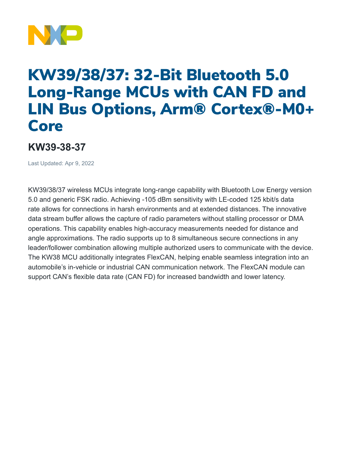

## KW39/38/37: 32-Bit Bluetooth 5.0 Long-Range MCUs with CAN FD and LIN Bus Options, Arm® Cortex®-M0+ Core

## **KW39-38-37**

Last Updated: Apr 9, 2022

KW39/38/37 wireless MCUs integrate long-range capability with Bluetooth Low Energy version 5.0 and generic FSK radio. Achieving -105 dBm sensitivity with LE-coded 125 kbit/s data rate allows for connections in harsh environments and at extended distances. The innovative data stream buffer allows the capture of radio parameters without stalling processor or DMA operations. This capability enables high-accuracy measurements needed for distance and angle approximations. The radio supports up to 8 simultaneous secure connections in any leader/follower combination allowing multiple authorized users to communicate with the device. The KW38 MCU additionally integrates FlexCAN, helping enable seamless integration into an automobile's in-vehicle or industrial CAN communication network. The FlexCAN module can support CAN's flexible data rate (CAN FD) for increased bandwidth and lower latency.